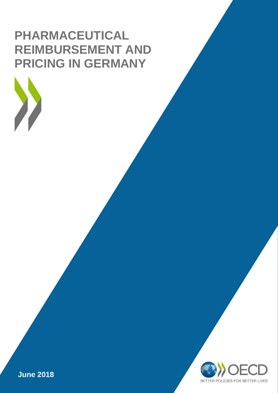# **PHARMACEUTICAL REIMBURSEMENT AND PRICING IN GERMANY**



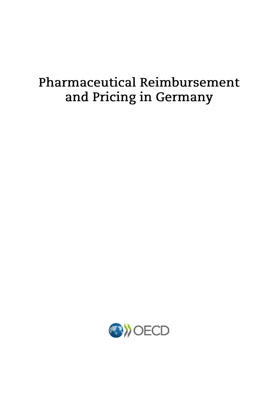# **Pharmaceutical Reimbursement** and Pricing in Germany

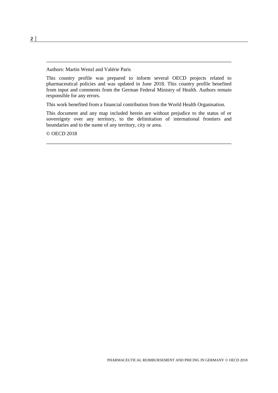Authors: Martin Wenzl and Valérie Paris

This country profile was prepared to inform several OECD projects related to pharmaceutical policies and was updated in June 2018. This country profile benefited from input and comments from the German Federal Ministry of Health. Authors remain responsible for any errors.

This work benefited from a financial contribution from the World Health Organisation.

This document and any map included herein are without prejudice to the status of or sovereignty over any territory, to the delimitation of international frontiers and boundaries and to the name of any territory, city or area.

© OECD 2018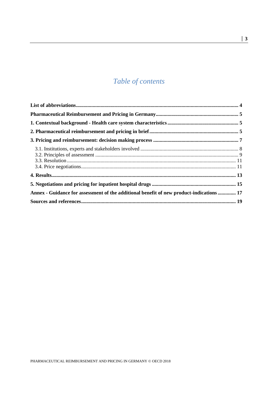# *Table of contents*

| Annex - Guidance for assessment of the additional benefit of new product-indications  17 |  |
|------------------------------------------------------------------------------------------|--|
|                                                                                          |  |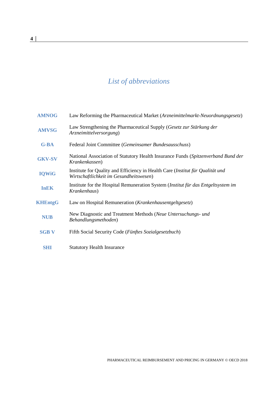# *List of abbreviations*

<span id="page-5-0"></span>

| <b>AMNOG</b>   | Law Reforming the Pharmaceutical Market (Arzneimittelmarkt-Neuordnungsgesetz)                                             |
|----------------|---------------------------------------------------------------------------------------------------------------------------|
| <b>AMVSG</b>   | Law Strengthening the Pharmaceutical Supply (Gesetz zur Stärkung der<br>Arzneimittelversorgung)                           |
| $G$ -BA        | Federal Joint Committee (Gemeinsamer Bundesausschuss)                                                                     |
| <b>GKV-SV</b>  | National Association of Statutory Health Insurance Funds (Spitzenverband Bund der<br>Krankenkassen)                       |
| <b>IQWiG</b>   | Institute for Quality and Efficiency in Health Care (Institut für Qualität und<br>Wirtschaftlichkeit im Gesundheitswesen) |
| <b>InEK</b>    | Institute for the Hospital Remuneration System (Institut für das Entgeltsystem im<br>Krankenhaus)                         |
| <b>KHEntgG</b> | Law on Hospital Remuneration ( <i>Krankenhausentgeltgesetz</i> )                                                          |
| <b>NUB</b>     | New Diagnostic and Treatment Methods (Neue Untersuchungs- und<br>Behandlungsmethoden)                                     |
| <b>SGB V</b>   | Fifth Social Security Code (Fünftes Sozialgesetzbuch)                                                                     |
| <b>SHI</b>     | <b>Statutory Health Insurance</b>                                                                                         |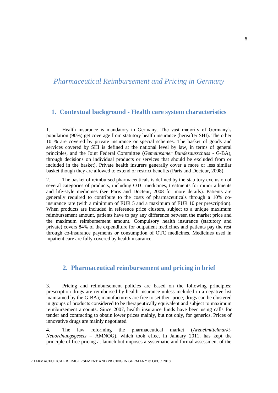## <span id="page-6-0"></span>*Pharmaceutical Reimbursement and Pricing in Germany*

#### <span id="page-6-1"></span>**1. Contextual background - Health care system characteristics**

1. Health insurance is mandatory in Germany. The vast majority of Germany's population (90%) get coverage from statutory health insurance (hereafter SHI). The other 10 % are covered by private insurance or special schemes. The basket of goods and services covered by SHI is defined at the national level by law, in terms of general principles, and the Joint Federal Committee (*Gemeinsamer Bundesausschuss* - G-BA), through decisions on individual products or services that should be excluded from or included in the basket). Private health insurers generally cover a more or less similar basket though they are allowed to extend or restrict benefits (Paris and Docteur, 2008).

2. The basket of reimbursed pharmaceuticals is defined by the statutory exclusion of several categories of products, including OTC medicines, treatments for minor ailments and life-style medicines (see Paris and Docteur, 2008 for more details). Patients are generally required to contribute to the costs of pharmaceuticals through a 10% coinsurance rate (with a minimum of EUR 5 and a maximum of EUR 10 per prescription). When products are included in reference price clusters, subject to a unique maximum reimbursement amount, patients have to pay any difference between the market price and the maximum reimbursement amount. Compulsory health insurance (statutory and private) covers 84% of the expenditure for outpatient medicines and patients pay the rest through co-insurance payments or consumption of OTC medicines. Medicines used in inpatient care are fully covered by health insurance.

#### <span id="page-6-2"></span>**2. Pharmaceutical reimbursement and pricing in brief**

3. Pricing and reimbursement policies are based on the following principles: prescription drugs are reimbursed by health insurance unless included in a negative list maintained by the G-BA); manufacturers are free to set their price; drugs can be clustered in groups of products considered to be therapeutically equivalent and subject to maximum reimbursement amounts. Since 2007, health insurance funds have been using calls for tender and contracting to obtain lower prices mainly, but not only, for generics. Prices of innovative drugs are mainly negotiated.

4. The law reforming the pharmaceutical market (*Arzneimittelmarkt-Neuordnungsgesetz* – AMNOG), which took effect in January 2011, has kept the principle of free pricing at launch but imposes a systematic and formal assessment of the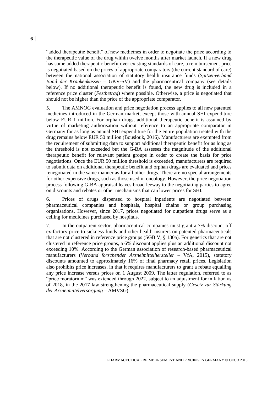"added therapeutic benefit" of new medicines in order to negotiate the price according to the therapeutic value of the drug within twelve months after market launch. If a new drug has some added therapeutic benefit over existing standards of care, a reimbursement price is negotiated based on the prices of appropriate comparators (the current standard of care) between the national association of statutory health insurance funds (*Spitzenverband Bund der Krankenkassen* – GKV-SV) and the pharmaceutical company (see details below). If no additional therapeutic benefit is found, the new drug is included in a reference price cluster (*Festbetrag*) where possible. Otherwise, a price is negotiated that should not be higher than the price of the appropriate comparator.

5. The AMNOG evaluation and price negotiation process applies to all new patented medicines introduced in the German market, except those with annual SHI expenditure below EUR 1 million. For orphan drugs, additional therapeutic benefit is assumed by virtue of marketing authorisation without reference to an appropriate comparator in Germany for as long as annual SHI expenditure for the entire population treated with the drug remains below EUR 50 million (Bouslouk, 2016). Manufacturers are exempted from the requirement of submitting data to support additional therapeutic benefit for as long as the threshold is not exceeded but the G-BA assesses the magnitude of the additional therapeutic benefit for relevant patient groups in order to create the basis for price negotiations. Once the EUR 50 million threshold is exceeded, manufacturers are required to submit data on additional therapeutic benefit and orphan drugs are evaluated and prices renegotiated in the same manner as for all other drugs. There are no special arrangements for other expensive drugs, such as those used in oncology. However, the price negotiation process following G-BA appraisal leaves broad leeway to the negotiating parties to agree on discounts and rebates or other mechanisms that can lower prices for SHI.

6. Prices of drugs dispensed to hospital inpatients are negotiated between pharmaceutical companies and hospitals, hospital chains or group purchasing organisations. However, since 2017, prices negotiated for outpatient drugs serve as a ceiling for medicines purchased by hospitals.

7. In the outpatient sector, pharmaceutical companies must grant a 7% discount off ex-factory price to sickness funds and other health insurers on patented pharmaceuticals that are not clustered in reference price groups (SGB V, § 130a). For generics that are not clustered in reference price groups, a 6% discount applies plus an additional discount not exceeding 10%. According to the German association of research-based pharmaceutical manufacturers (*Verband forschender Arzneimittelhersteller* – VfA, 2015), statutory discounts amounted to approximately 16% of final pharmacy retail prices. Legislation also prohibits price increases, in that it requires manufacturers to grant a rebate equalling any price increase versus prices on 1 August 2009. The latter regulation, referred to as "price moratorium" was extended through 2022, subject to an adjustment for inflation as of 2018, in the 2017 law strengthening the pharmaceutical supply (*Gesetz zur Stärkung der Arzneimittelversorgung* – AMVSG).

**6 │**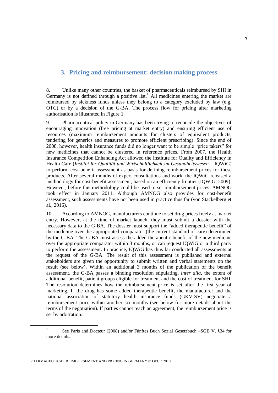#### <span id="page-8-0"></span>**3. Pricing and reimbursement: decision making process**

8. Unlike many other countries, the basket of pharmaceuticals reimbursed by SHI in Germany is not defined through a positive list.<sup>1</sup> All medicines entering the market are reimbursed by sickness funds unless they belong to a category excluded by law (e.g. OTC) or by a decision of the G-BA. The process flow for pricing after marketing authorisation is illustrated in Figure 1.

9. Pharmaceutical policy in Germany has been trying to reconcile the objectives of encouraging innovation (free pricing at market entry) and ensuring efficient use of resources (maximum reimbursement amounts for clusters of equivalent products, tendering for generics and measures to promote efficient prescribing). Since the end of 2008, however, health insurance funds did no longer want to be simple "price takers" for new medicines that cannot be clustered in reference prices. From 2007, the Health Insurance Competition Enhancing Act allowed the Institute for Quality and Efficiency in Health Care (*Institut für Qualität und Wirtschaftlichkeit im Gesundheitswesen* – IQWiG) to perform cost-benefit assessment as basis for defining reimbursement prices for these products. After several months of expert consultations and work, the IQWiG released a methodology for cost-benefit assessment, based on an efficiency frontier (IQWiG, 2009). However, before this methodology could be used to set reimbursement prices, AMNOG took effect in January 2011. Although AMNOG also provides for cost-benefit assessment, such assessments have not been used in practice thus far (von Stackelberg et al., 2016).

10. According to AMNOG, manufacturers continue to set drug prices freely at market entry. However, at the time of market launch, they must submit a dossier with the necessary data to the G-BA. The dossier must support the "added therapeutic benefit" of the medicine over the appropriated comparator (the current standard of care) determined by the G-BA. The G-BA must assess the added therapeutic benefit of the new medicine over the appropriate comparator within 3 months, or can request IQWiG or a third party to perform the assessment. In practice, IQWiG has thus far conducted all assessments at the request of the G-BA. The result of this assessment is published and external stakeholders are given the opportunity to submit written and verbal statements on the result (see below). Within an additional 3 months of the publication of the benefit assessment, the G-BA passes a binding resolution stipulating, *inter alia*, the extent of additional benefit, patient groups eligible for treatment and the cost of treatment for SHI. The resolution determines how the reimbursement price is set after the first year of marketing. If the drug has some added therapeutic benefit, the manufacturer and the national association of statutory health insurance funds (GKV-SV) negotiate a reimbursement price within another six months (see below for more details about the terms of the negotiation). If parties cannot reach an agreement, the reimbursement price is set by arbitration.

<sup>1</sup> See Paris and Docteur (2008) and/or Fünftes Buch Sozial Gesetzbuch –SGB V, §34 for more details.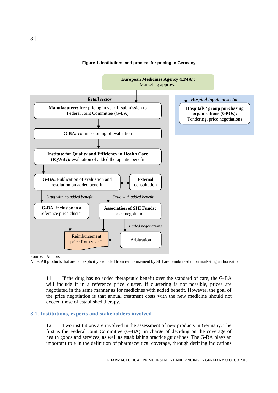

#### **Figure 1. Institutions and process for pricing in Germany**

Source: Authors

Note: All products that are not explicitly excluded from reimbursement by SHI are reimbursed upon marketing authorisation

11. If the drug has no added therapeutic benefit over the standard of care, the G-BA will include it in a reference price cluster. If clustering is not possible, prices are negotiated in the same manner as for medicines with added benefit. However, the goal of the price negotiation is that annual treatment costs with the new medicine should not exceed those of established therapy.

#### <span id="page-9-0"></span>**3.1. Institutions, experts and stakeholders involved**

12. Two institutions are involved in the assessment of new products in Germany. The first is the Federal Joint Committee (G-BA), in charge of deciding on the coverage of health goods and services, as well as establishing practice guidelines. The G-BA plays an important role in the definition of pharmaceutical coverage, through defining indications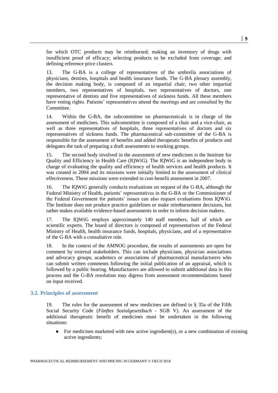for which OTC products may be reimbursed; making an inventory of drugs with insufficient proof of efficacy; selecting products to be excluded from coverage; and defining reference price clusters.

13. The G-BA is a college of representatives of the umbrella associations of physicians, dentists, hospitals and health insurance funds. The G-BA plenary assembly, the decision making body, is composed of an impartial chair, two other impartial members, two representatives of hospitals, two representatives of doctors, one representative of dentists and five representatives of sickness funds. All these members have voting rights. Patients' representatives attend the meetings and are consulted by the Committee.

14. Within the G-BA, the subcommittee on pharmaceuticals is in charge of the assessment of medicines. This subcommittee is composed of a chair and a vice-chair, as well as three representatives of hospitals, three representatives of doctors and six representatives of sickness funds. The pharmaceutical sub-committee of the G-BA is responsible for the assessment of benefits and added therapeutic benefits of products and delegates the task of preparing a draft assessments to working groups.

15. The second body involved in the assessment of new medicines is the Institute for Quality and Efficiency in Health Care (IQWiG). The IQWiG is an independent body in charge of evaluating the quality and efficiency of health services and health products. It was created in 2004 and its missions were initially limited to the assessment of clinical effectiveness. These missions were extended to cost-benefit assessment in 2007.

16. The IQWiG generally conducts evaluations on request of the G-BA, although the Federal Ministry of Health, patients' representatives in the G-BA or the Commissioner of the Federal Government for patients' issues can also request evaluations from IQWiG. The Institute does not produce practice guidelines or make reimbursement decisions, but rather makes available evidence-based assessments in order to inform decision makers.

17. The IQWiG employs approximately 140 staff members, half of which are scientific experts. The board of directors is composed of representatives of the Federal Ministry of Health, health insurance funds, hospitals, physicians, and of a representative of the G-BA with a consultative role.

18. In the context of the AMNOG procedure, the results of assessments are open for comment by external stakeholders. This can include physicians, physician associations and advocacy groups, academics or associations of pharmaceutical manufacturers who can submit written comments following the initial publication of an appraisal, which is followed by a public hearing. Manufacturers are allowed to submit additional data in this process and the G-BA resolution may digress from assessment recommendations based on input received.

#### <span id="page-10-0"></span>**3.2. Principles of assessment**

19. The rules for the assessment of new medicines are defined in § 35a of the Fifth Social Security Code (*Fünftes Sozialgesetzbuch* - SGB V). An assessment of the additional therapeutic benefit of medicines must be undertaken in the following situations:

• For medicines marketed with new active ingredient(s), or a new combination of existing active ingredients;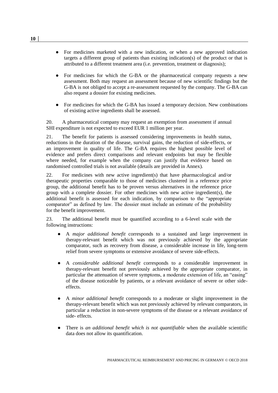- For medicines marketed with a new indication, or when a new approved indication targets a different group of patients than existing indication(s) of the product or that is attributed to a different treatment area (i.e. prevention, treatment or diagnosis);
- For medicines for which the G-BA or the pharmaceutical company requests a new assessment. Both may request an assessment because of new scientific findings but the G-BA is not obliged to accept a re-assessment requested by the company. The G-BA can also request a dossier for existing medicines.
- For medicines for which the G-BA has issued a temporary decision. New combinations of existing active ingredients shall be assessed.

20. A pharmaceutical company may request an exemption from assessment if annual SHI expenditure is not expected to exceed EUR 1 million per year.

21. The benefit for patients is assessed considering improvements in health status, reductions in the duration of the disease, survival gains, the reduction of side-effects, or an improvement in quality of life. The G-BA requires the highest possible level of evidence and prefers direct comparisons and relevant endpoints but may be flexible where needed, for example when the company can justify that evidence based on randomised controlled trials is not available (details are provided in Annex).

22. For medicines with new active ingredient(s) that have pharmacological and/or therapeutic properties comparable to those of medicines clustered in a reference price group, the additional benefit has to be proven versus alternatives in the reference price group with a complete dossier. For other medicines with new active ingredient(s), the additional benefit is assessed for each indication, by comparison to the "appropriate comparator" as defined by law. The dossier must include an estimate of the probability for the benefit improvement.

23. The additional benefit must be quantified according to a 6-level scale with the following instructions:

- A *major additional benefit* corresponds to a sustained and large improvement in therapy-relevant benefit which was not previously achieved by the appropriate comparator, such as recovery from disease, a considerable increase in life, long-term relief from severe symptoms or extensive avoidance of severe side-effects.
- A *considerable additional benefit* corresponds to a considerable improvement in therapy-relevant benefit not previously achieved by the appropriate comparator, in particular the attenuation of severe symptoms, a moderate extension of life, an "easing" of the disease noticeable by patients, or a relevant avoidance of severe or other sideeffects.
- A *minor additional benefit* corresponds to a moderate or slight improvement in the therapy-relevant benefit which was not previously achieved by relevant comparators, in particular a reduction in non-severe symptoms of the disease or a relevant avoidance of side- effects.
- There is *an additional benefit which is not quantifiable* when the available scientific data does not allow its quantification.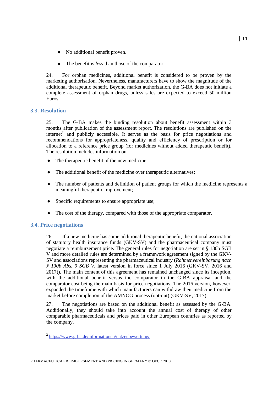- No additional benefit proven.
- The benefit is *less* than those of the comparator.

24. For orphan medicines, additional benefit is considered to be proven by the marketing authorisation. Nevertheless, manufacturers have to show the magnitude of the additional therapeutic benefit. Beyond market authorization, the G-BA does not initiate a complete assessment of orphan drugs, unless sales are expected to exceed 50 million Euros.

#### <span id="page-12-0"></span>**3.3. Resolution**

25. The G-BA makes the binding resolution about benefit assessment within 3 months after publication of the assessment report. The resolutions are published on the internet<sup>2</sup> and publicly accessible. It serves as the basis for price negotiations and recommendations for appropriateness, quality and efficiency of prescription or for allocation to a reference price group (for medicines without added therapeutic benefit). The resolution includes information on:

- The therapeutic benefit of the new medicine;
- The additional benefit of the medicine over therapeutic alternatives;
- The number of patients and definition of patient groups for which the medicine represents a meaningful therapeutic improvement;
- Specific requirements to ensure appropriate use;
- The cost of the therapy, compared with those of the appropriate comparator.

#### <span id="page-12-1"></span>**3.4. Price negotiations**

 $\overline{a}$ 

26. If a new medicine has some additional therapeutic benefit, the national association of statutory health insurance funds (GKV-SV) and the pharmaceutical company must negotiate a reimbursement price. The general rules for negotiation are set in § 130b SGB V and more detailed rules are determined by a framework agreement signed by the GKV-SV and associations representing the pharmaceutical industry (*Rahmenvereinbarung nach § 130b Abs. 9 SGB V*, latest version in force since 1 July 2016 (GKV-SV, 2016 and 2017)). The main content of this agreement has remained unchanged since its inception, with the additional benefit versus the comparator in the G-BA appraisal and the comparator cost being the main basis for price negotiations. The 2016 version, however, expanded the timeframe with which manufacturers can withdraw their medicine from the market before completion of the AMNOG process (opt-out) (GKV-SV, 2017).

27. The negotiations are based on the additional benefit as assessed by the G-BA. Additionally, they should take into account the annual cost of therapy of other comparable pharmaceuticals and prices paid in other European countries as reported by the company.

<sup>&</sup>lt;sup>2</sup> <https://www.g-ba.de/informationen/nutzenbewertung/>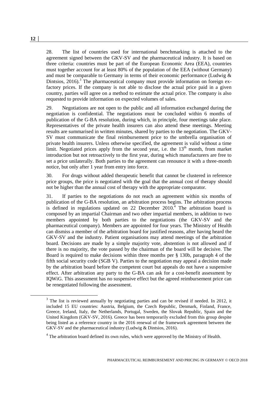28. The list of countries used for international benchmarking is attached to the agreement signed between the GKV-SV and the pharmaceutical industry. It is based on three criteria: countries must be part of the European Economic Area (EEA), countries must together account for at least 80% of the population of the EEA (without Germany) and must be comparable to Germany in terms of their economic performance (Ludwig & Dintsios, 2016).<sup>3</sup> The pharmaceutical company must provide information on foreign exfactory prices. If the company is not able to disclose the actual price paid in a given country, parties will agree on a method to estimate the actual price. The company is also requested to provide information on expected volumes of sales.

29. Negotiations are not open to the public and all information exchanged during the negotiation is confidential. The negotiations must be concluded within 6 months of publication of the G-BA resolution, during which, in principle, four meetings take place. Representatives of the private health insurers can also attend these meetings. Meeting results are summarised in written minutes, shared by parties to the negotiation. The GKV-SV must communicate the final reimbursement price to the umbrella organisation of private health insurers. Unless otherwise specified, the agreement is valid without a time limit. Negotiated prices apply from the second year, i.e. the  $13<sup>th</sup>$  month, from market introduction but not retroactively to the first year, during which manufacturers are free to set a price unilaterally. Both parties to the agreement can renounce it with a three-month notice, but only after 1 year from entry into force.

30. For drugs without added therapeutic benefit that cannot be clustered in reference price groups, the price is negotiated with the goal that the annual cost of therapy should not be higher than the annual cost of therapy with the appropriate comparator.

31. If parties to the negotiations do not reach an agreement within six months of publication of the G-BA resolution, an arbitration process begins. The arbitration process is defined in regulations updated on 22 December  $2010<sup>4</sup>$ . The arbitration board is composed by an impartial Chairman and two other impartial members, in addition to two members appointed by both parties to the negotiations (the GKV-SV and the pharmaceutical company). Members are appointed for four years. The Ministry of Health can dismiss a member of the arbitration board for justified reasons, after having heard the GKV-SV and the industry. Patient organisations may attend meetings of the arbitration board. Decisions are made by a simple majority vote, abstention is not allowed and if there is no majority, the vote passed by the chairman of the board will be decisive. The Board is required to make decisions within three months per § 130b, paragraph 4 of the fifth social security code (SGB V). Parties to the negotiation may appeal a decision made by the arbitration board before the competent court but appeals do not have a suspensive effect. After arbitration any party to the G-BA can ask for a cost-benefit assessment by IQWiG. This assessment has no suspensive effect but the agreed reimbursement price can be renegotiated following the assessment.

 $3$  The list is reviewed annually by negotiating parties and can be revised if needed. In 2012, it included 15 EU countries: Austria, Belgium, the Czech Republic, Denmark, Finland, France, Greece, Ireland, Italy, the Netherlands, Portugal, Sweden, the Slovak Republic, Spain and the United Kingdom (GKV-SV, 2016). Greece has been temporarily excluded from this group despite being listed as a reference country in the 2016 renewal of the framework agreement between the GKV-SV and the pharmaceutical industry (Ludwig & Dintsios, 2016).

<sup>4</sup> The arbitration board defined its own rules, which were approved by the Ministry of Health.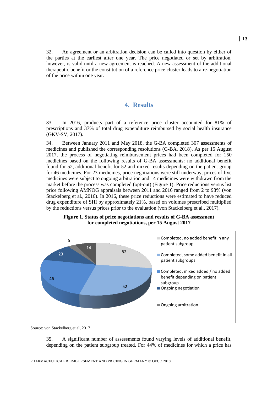<span id="page-14-0"></span>32. An agreement or an arbitration decision can be called into question by either of the parties at the earliest after one year. The price negotiated or set by arbitration, however, is valid until a new agreement is reached. A new assessment of the additional therapeutic benefit or the constitution of a reference price cluster leads to a re-negotiation of the price within one year.

#### **4. Results**

33. In 2016, products part of a reference price cluster accounted for 81% of prescriptions and 37% of total drug expenditure reimbursed by social health insurance (GKV-SV, 2017).

34. Between January 2011 and May 2018, the G-BA completed 307 assessments of medicines and published the corresponding resolutions (G-BA, 2018). As per 15 August 2017, the process of negotiating reimbursement prices had been completed for 150 medicines based on the following results of G-BA assessments: no additional benefit found for 52, additional benefit for 52 and mixed results depending on the patient group for 46 medicines. For 23 medicines, price negotiations were still underway, prices of five medicines were subject to ongoing arbitration and 14 medicines were withdrawn from the market before the process was completed (opt-out) (Figure 1). Price reductions versus list price following AMNOG appraisals between 2011 and 2016 ranged from 2 to 98% (von Stackelberg et al., 2016). In 2016, these price reductions were estimated to have reduced drug expenditure of SHI by approximately 21%, based on volumes prescribed multiplied by the reductions versus prices prior to the evaluation (von Stackelberg et al., 2017).





Source: von Stackelberg et al, 2017

35. A significant number of assessments found varying levels of additional benefit, depending on the patient subgroup treated. For 44% of medicines for which a price has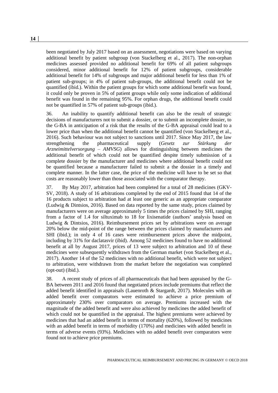been negotiated by July 2017 based on an assessment, negotiations were based on varying additional benefit by patient subgroup (von Stackelberg et al., 2017). The non-orphan medicines assessed provided no additional benefit for 69% of all patient subgroups considered, minor additional benefit for 12% of patient subgroups, considerable additional benefit for 14% of subgroups and major additional benefit for less than 1% of patient sub-groups; in 4% of patient sub-groups, the additional benefit could not be quantified (ibid.). Within the patient groups for which some additional benefit was found, it could only be proven in 5% of patient groups while only some indication of additional benefit was found in the remaining 95%. For orphan drugs, the additional benefit could not be quantified in 57% of patient sub-groups (ibid.).

36. An inability to quantify additional benefit can also be the result of strategic decisions of manufacturers not to submit a dossier, or to submit an incomplete dossier, to the G-BA in anticipation of a risk that the results of the G-BA appraisal could lead to a lower price than when the additional benefit cannot be quantified (von Stackelberg et al., 2016). Such behaviour was not subject to sanctions until 2017. Since May 2017, the law strengthening the pharmaceutical supply (*Gesetz zur Stärkung der Arzneimittelversorgung – AMVSG*) allows for distinguishing between medicines the additional benefit of which could not be quantified despite timely submission of a complete dossier by the manufacturer and medicines where additional benefit could not be quantified because a manufacturer failed to submit a the dossier in a timely and complete manner. In the latter case, the price of the medicine will have to be set so that costs are reasonably lower than those associated with the comparator therapy.

37. By May 2017, arbitration had been completed for a total of 28 medicines (GKV-SV, 2018). A study of 16 arbitrations completed by the end of 2015 found that 14 of the 16 products subject to arbitration had at least one generic as an appropriate comparator (Ludwig & Dintsios, 2016). Based on data reported by the same study, prices claimed by manufacturers were on average approximately 5 times the prices claimed by SHI, ranging from a factor of 1.4 for siltuximab to 18 for lixisenatide (authors' analysis based on Ludwig & Dintsios, 2016). Reimbursement prices set by arbitrations were on average 20% below the mid-point of the range between the prices claimed by manufacturers and SHI (ibid.); in only 4 of 16 cases were reimbursement prices above the midpoint, including by 31% for daclatasvir (ibid). Among 52 medicines found to have no additional benefit at all by August 2017, prices of 13 were subject to arbitration and 10 of these medicines were subsequently withdrawn from the German market (von Stackelberg et al., 2017). Another 14 of the 52 medicines with no additional benefit, which were not subject to arbitration, were withdrawn from the market before the negotiation was completed (opt-out) (ibid.).

38. A recent study of prices of all pharmaceuticals that had been appraised by the G-BA between 2011 and 2016 found that negotiated prices include premiums that reflect the added benefit identified in appraisals (Lauenroth & Stargardt, 2017). Molecules with an added benefit over comparators were estimated to achieve a price premium of approximately 230% over comparators on average. Premiums increased with the magnitude of the added benefit and were also achieved by medicines the added benefit of which could not be quantified in the appraisal. The highest premiums were achieved by medicines that had an added benefit in terms of mortality (620%), followed by medicines with an added benefit in terms of morbidity (170%) and medicines with added benefit in terms of adverse events (93%). Medicines with no added benefit over comparators were found not to achieve price premiums.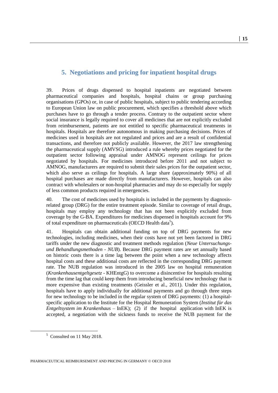### <span id="page-16-0"></span>**5. Negotiations and pricing for inpatient hospital drugs**

39. Prices of drugs dispensed to hospital inpatients are negotiated between pharmaceutical companies and hospitals, hospital chains or group purchasing organisations (GPOs) or, in case of public hospitals, subject to public tendering according to European Union law on public procurement, which specifies a threshold above which purchases have to go through a tender process. Contrary to the outpatient sector where social insurance is legally required to cover all medicines that are not explicitly excluded from reimbursement, patients are not entitled to specific pharmaceutical treatments in hospitals. Hospitals are therefore autonomous in making purchasing decisions. Prices of medicines used in hospitals are not regulated and prices and are a result of confidential transactions, and therefore not publicly available. However, the 2017 law strengthening the pharmaceutical supply (AMVSG) introduced a rule whereby prices negotiated for the outpatient sector following appraisal under AMNOG represent ceilings for prices negotiated by hospitals. For medicines introduced before 2011 and not subject to AMNOG, manufacturers are required to submit their sales prices for the outpatient sector, which also serve as ceilings for hospitals. A large share (approximately 90%) of all hospital purchases are made directly from manufacturers. However, hospitals can also contract with wholesalers or non-hospital pharmacies and may do so especially for supply of less common products required in emergencies.

40. The cost of medicines used by hospitals is included in the payments by diagnosisrelated group (DRG) for the entire treatment episode. Similar to coverage of retail drugs, hospitals may employ any technology that has not been explicitly excluded from coverage by the G-BA. Expenditures for medicines dispensed in hospitals account for 9% of total expenditure on pharmaceuticals (OECD Health data<sup>5</sup>).

41. Hospitals can obtain additional funding on top of DRG payments for new technologies, including medicines, when their costs have not yet been factored in DRG tariffs under the new diagnostic and treatment methods regulation (*Neue Untersuchungsund Behandlungsmethoden - NUB*). Because DRG payment rates are set annually based on historic costs there is a time lag between the point when a new technology affects hospital costs and these additional costs are reflected in the corresponding DRG payment rate. The NUB regulation was introduced in the 2005 law on hospital remuneration (*Krankenhausentgeltgesetz* - KHEntgG) to overcome a disincentive for hospitals resulting from the time lag that could keep them from introducing beneficial new technology that is more expensive than existing treatments (Geissler et al., 2011). Under this regulation, hospitals have to apply individually for additional payments and go through three steps for new technology to be included in the regular system of DRG payments: (1) a hospitalspecific application to the Institute for the Hospital Remuneration System (*Institut für das Entgeltsystem im Krankenhaus* – InEK); (2) if the hospital application with InEK is accepted, a negotiation with the sickness funds to receive the NUB payment for the

 $\overline{a}$ 

<sup>&</sup>lt;sup>5</sup> Consulted on 11 May 2018.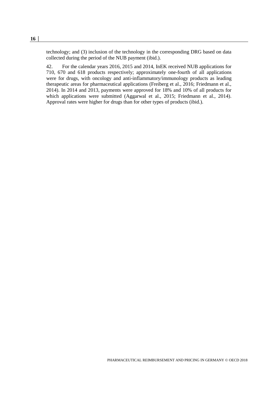technology; and (3) inclusion of the technology in the corresponding DRG based on data collected during the period of the NUB payment (ibid.).

42. For the calendar years 2016, 2015 and 2014, InEK received NUB applications for 710, 670 and 618 products respectively; approximately one-fourth of all applications were for drugs, with oncology and anti-inflammatory/immunology products as leading therapeutic areas for pharmaceutical applications (Freiberg et al., 2016; Friedmann et al., 2014). In 2014 and 2013, payments were approved for 18% and 10% of all products for which applications were submitted (Aggarwal et al., 2015; Friedmann et al., 2014). Approval rates were higher for drugs than for other types of products (ibid.).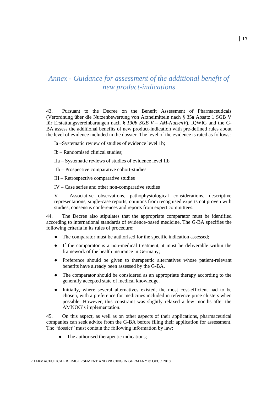## <span id="page-18-0"></span>*Annex - Guidance for assessment of the additional benefit of new product-indications*

43. Pursuant to the Decree on the Benefit Assessment of Pharmaceuticals (Verordnung über die Nutzenbewertung von Arzneimitteln nach § 35a Absatz 1 SGB V für Erstattungsvereinbarungen nach *§ 130b SGB V – AM-NutzenV*), IQWIG and the G-BA assess the additional benefits of new product-indication with pre-defined rules about the level of evidence included in the dossier. The level of the evidence is rated as follows:

- Ia –Systematic review of studies of evidence level 1b;
- Ib Randomised clinical studies;
- IIa Systematic reviews of studies of evidence level IIb
- IIb Prospective comparative cohort-studies
- III Retrospective comparative studies
- IV Case series and other non-comparative studies

V – Associative observations, pathophysiological considerations, descriptive representations, single-case reports, opinions from recognised experts not proven with studies, consensus conferences and reports from expert committees.

44. The Decree also stipulates that the appropriate comparator must be identified according to international standards of evidence-based medicine. The G-BA specifies the following criteria in its rules of procedure:

- The comparator must be authorised for the specific indication assessed;
- If the comparator is a non-medical treatment, it must be deliverable within the framework of the health insurance in Germany;
- Preference should be given to therapeutic alternatives whose patient-relevant benefits have already been assessed by the G-BA.
- The comparator should be considered as an appropriate therapy according to the generally accepted state of medical knowledge.
- Initially, where several alternatives existed, the most cost-efficient had to be chosen, with a preference for medicines included in reference price clusters when possible. However, this constraint was slightly relaxed a few months after the AMNOG's implementation.

45. On this aspect, as well as on other aspects of their applications, pharmaceutical companies can seek advice from the G-BA before filing their application for assessment. The "dossier" must contain the following information by law:

The authorised therapeutic indications;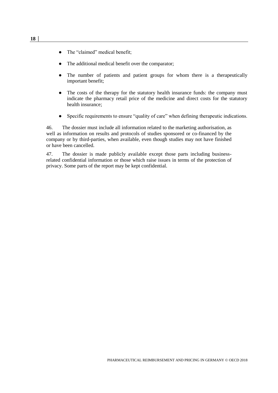- The "claimed" medical benefit;
- The additional medical benefit over the comparator;
- The number of patients and patient groups for whom there is a therapeutically important benefit;
- The costs of the therapy for the statutory health insurance funds: the company must indicate the pharmacy retail price of the medicine and direct costs for the statutory health insurance;
- Specific requirements to ensure "quality of care" when defining therapeutic indications.

46. The dossier must include all information related to the marketing authorisation, as well as information on results and protocols of studies sponsored or co-financed by the company or by third-parties, when available, even though studies may not have finished or have been cancelled.

47. The dossier is made publicly available except those parts including businessrelated confidential information or those which raise issues in terms of the protection of privacy. Some parts of the report may be kept confidential.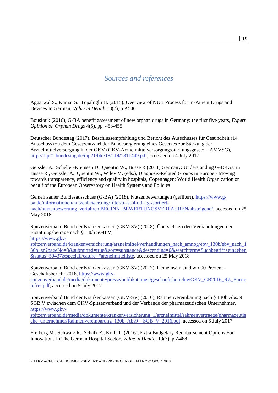### *Sources and references*

<span id="page-20-0"></span>Aggarwal S., Kumar S., Topaloglu H. (2015), Overview of NUB Process for In-Patient Drugs and Devices In German, *Value in Health* 18(7), p.A546

Bouslouk (2016), G-BA benefit assessment of new orphan drugs in Germany: the first five years, *Expert Opinion on Orphan Drugs* 4(5), pp. 453-455

Deutscher Bundestag (2017), Beschlussempfehlung und Bericht des Ausschusses für Gesundheit (14. Ausschuss) zu dem Gesetzentwurf der Bundesregierung eines Gesetzes zur Stärkung der Arzneimittelversorgung in der GKV (GKV-Arzneimittelversorgungsstärkungsgesetz – AMVSG), [http://dip21.bundestag.de/dip21/btd/18/114/1811449.pdf,](http://dip21.bundestag.de/dip21/btd/18/114/1811449.pdf) accessed on 4 July 2017

Geissler A., Scheller-Kreinsen D., Quentin W., Busse R (2011) Germany: Understanding G-DRGs, in Busse R., Geissler A., Quentin W., Wiley M. (eds.), Diagnosis-Related Groups in Europe - Moving towards transparency, efficiency and quality in hospitals, Copenhagen: World Health Organization on behalf of the European Observatory on Health Systems and Policies

Gemeinsamer Bundesausschuss (G-BA) (2018), Nutzenbewertungen (gefiltert), [https://www.g](https://www.g-ba.de/informationen/nutzenbewertung/filter/b--st-4-od--tg-/sortiert-nach/nutzenbewertung_verfahren.BEGINN_BEWERTUNGSVERFAHREN/absteigend/)[ba.de/informationen/nutzenbewertung/filter/b--st-4-od--tg-/sortiert](https://www.g-ba.de/informationen/nutzenbewertung/filter/b--st-4-od--tg-/sortiert-nach/nutzenbewertung_verfahren.BEGINN_BEWERTUNGSVERFAHREN/absteigend/)[nach/nutzenbewertung\\_verfahren.BEGINN\\_BEWERTUNGSVERFAHREN/absteigend/,](https://www.g-ba.de/informationen/nutzenbewertung/filter/b--st-4-od--tg-/sortiert-nach/nutzenbewertung_verfahren.BEGINN_BEWERTUNGSVERFAHREN/absteigend/) accessed on 25 May 2018

Spitzenverband Bund der Krankenkassen (GKV-SV) (2018), Übersicht zu den Verhandlungen der Erstattungsbeträge nach § 130b SGB V,

[https://www.gkv-](https://www.gkv-spitzenverband.de/krankenversicherung/arzneimittel/verhandlungen_nach_amnog/ebv_130b/ebv_nach_130b.jsp?pageNo=3&submitted=true&sort=substance&descending=0&searchterm=Suchbegriff+eingeben&status=50437&specialFeature=#arzneimittelliste)

[spitzenverband.de/krankenversicherung/arzneimittel/verhandlungen\\_nach\\_amnog/ebv\\_130b/ebv\\_nach\\_1](https://www.gkv-spitzenverband.de/krankenversicherung/arzneimittel/verhandlungen_nach_amnog/ebv_130b/ebv_nach_130b.jsp?pageNo=3&submitted=true&sort=substance&descending=0&searchterm=Suchbegriff+eingeben&status=50437&specialFeature=#arzneimittelliste) [30b.jsp?pageNo=3&submitted=true&sort=substance&descending=0&searchterm=Suchbegriff+eingeben](https://www.gkv-spitzenverband.de/krankenversicherung/arzneimittel/verhandlungen_nach_amnog/ebv_130b/ebv_nach_130b.jsp?pageNo=3&submitted=true&sort=substance&descending=0&searchterm=Suchbegriff+eingeben&status=50437&specialFeature=#arzneimittelliste) [&status=50437&specialFeature=#arzneimittelliste,](https://www.gkv-spitzenverband.de/krankenversicherung/arzneimittel/verhandlungen_nach_amnog/ebv_130b/ebv_nach_130b.jsp?pageNo=3&submitted=true&sort=substance&descending=0&searchterm=Suchbegriff+eingeben&status=50437&specialFeature=#arzneimittelliste) accessed on 25 May 2018

Spitzenverband Bund der Krankenkassen (GKV-SV) (2017), Gemeinsam sind wir 90 Prozent - Geschäftsbericht 2016, [https://www.gkv-](https://www.gkv-spitzenverband.de/media/dokumente/presse/publikationen/geschaeftsberichte/GKV_GB2016_RZ_Barrierefrei.pdf)

[spitzenverband.de/media/dokumente/presse/publikationen/geschaeftsberichte/GKV\\_GB2016\\_RZ\\_Barrie](https://www.gkv-spitzenverband.de/media/dokumente/presse/publikationen/geschaeftsberichte/GKV_GB2016_RZ_Barrierefrei.pdf) [refrei.pdf,](https://www.gkv-spitzenverband.de/media/dokumente/presse/publikationen/geschaeftsberichte/GKV_GB2016_RZ_Barrierefrei.pdf) accessed on 5 July 2017

Spitzenverband Bund der Krankenkassen (GKV-SV) (2016), Rahmenvereinbarung nach § 130b Abs. 9 SGB V zwischen dem GKV-Spitzenverband und der Verbände der pharmazeutischen Unternehmer, [https://www.gkv-](https://www.gkv-spitzenverband.de/media/dokumente/krankenversicherung_1/arzneimittel/rahmenvertraege/pharmazeutische_unternehmer/Rahmenvereinbarung_130b_Abs9__SGB_V_2016.pdf)

[spitzenverband.de/media/dokumente/krankenversicherung\\_1/arzneimittel/rahmenvertraege/pharmazeutis](https://www.gkv-spitzenverband.de/media/dokumente/krankenversicherung_1/arzneimittel/rahmenvertraege/pharmazeutische_unternehmer/Rahmenvereinbarung_130b_Abs9__SGB_V_2016.pdf) [che\\_unternehmer/Rahmenvereinbarung\\_130b\\_Abs9\\_\\_SGB\\_V\\_2016.pdf,](https://www.gkv-spitzenverband.de/media/dokumente/krankenversicherung_1/arzneimittel/rahmenvertraege/pharmazeutische_unternehmer/Rahmenvereinbarung_130b_Abs9__SGB_V_2016.pdf) accessed on 5 July 2017

Freiberg M., Schwarz R., Schalk E., Kraft T. (2016), Extra Budgetary Reimbursement Options For Innovations In The German Hospital Sector, *Value in Health*, 19(7), p.A468